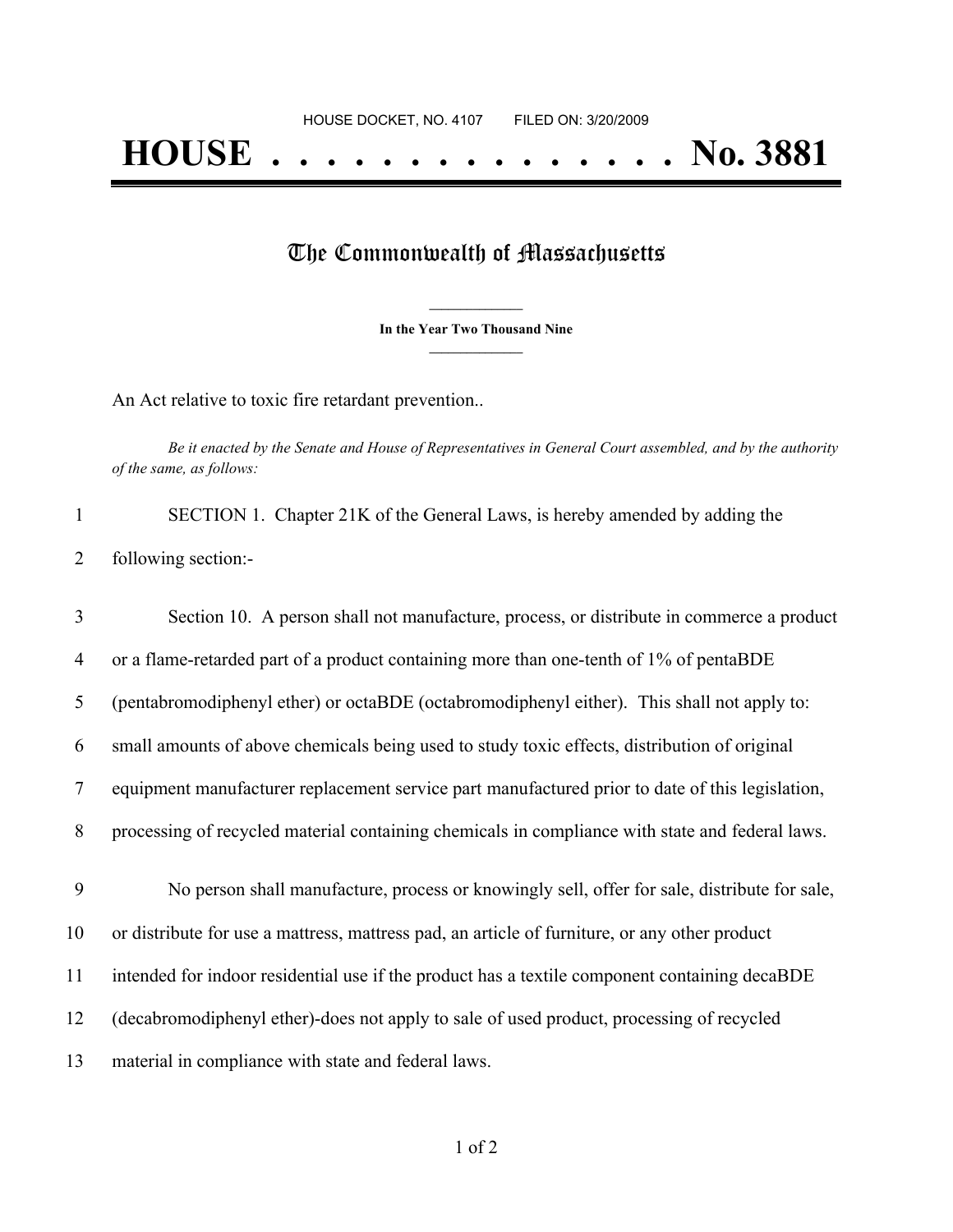## The Commonwealth of Massachusetts

**\_\_\_\_\_\_\_\_\_\_\_\_\_\_\_ In the Year Two Thousand Nine \_\_\_\_\_\_\_\_\_\_\_\_\_\_\_**

An Act relative to toxic fire retardant prevention..

Be it enacted by the Senate and House of Representatives in General Court assembled, and by the authority *of the same, as follows:*

|                     | SECTION 1. Chapter 21K of the General Laws, is hereby amended by adding the |  |  |
|---------------------|-----------------------------------------------------------------------------|--|--|
| following section:- |                                                                             |  |  |

| 3              | Section 10. A person shall not manufacture, process, or distribute in commerce a product        |
|----------------|-------------------------------------------------------------------------------------------------|
| $\overline{4}$ | or a flame-retarded part of a product containing more than one-tenth of 1% of pentaBDE          |
| 5              | (pentabromodiphenyl ether) or octaBDE (octabromodiphenyl either). This shall not apply to:      |
| 6              | small amounts of above chemicals being used to study toxic effects, distribution of original    |
| 7              | equipment manufacturer replacement service part manufactured prior to date of this legislation, |
| 8              | processing of recycled material containing chemicals in compliance with state and federal laws. |
| 9              | No person shall manufacture, process or knowingly sell, offer for sale, distribute for sale,    |
| 10             | or distribute for use a mattress, mattress pad, an article of furniture, or any other product   |
| 11             | intended for indoor residential use if the product has a textile component containing decaBDE   |
| 12             | (decabromodiphenyl ether)-does not apply to sale of used product, processing of recycled        |
| 13             | material in compliance with state and federal laws.                                             |